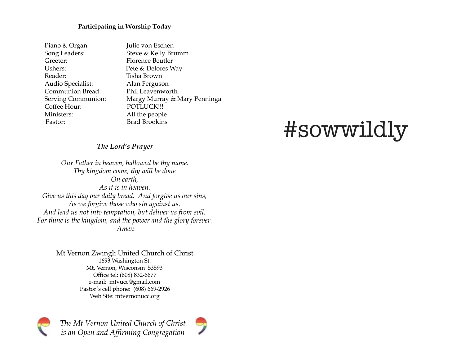#### **Participating in Worship Today**

| Piano & Organ:     | Julie von Eschen             |
|--------------------|------------------------------|
| Song Leaders:      | Steve & Kelly Brumm          |
| Greeter:           | <b>Florence Beutler</b>      |
| Ushers:            | Pete & Delores Way           |
| Reader:            | Tisha Brown                  |
| Audio Specialist:  | Alan Ferguson                |
| Communion Bread:   | Phil Leavenworth             |
| Serving Communion: | Margy Murray & Mary Penninga |
| Coffee Hour:       | POTLUCK !!!                  |
| Ministers:         | All the people               |
| Pastor:            | <b>Brad Brookins</b>         |

# #sowwildly

#### *The Lord's Prayer*

*Our Father in heaven, hallowed be thy name. Thy kingdom come, thy will be done On earth, As it is in heaven. Give us this day our daily bread. And forgive us our sins, As we forgive those who sin against us. And lead us not into temptation, but deliver us from evil. For thine is the kingdom, and the power and the glory forever. Amen*

> Mt Vernon Zwingli United Church of Christ 1693 Washington St. Mt. Vernon, Wisconsin 53593 Office tel: (608) 832-6677 e-mail: mtvucc@gmail.com Pastor's cell phone: (608) 669-2926 Web Site: mtvernonucc.org



*The Mt Vernon United Church of Christ is an Open and Affirming Congregation*

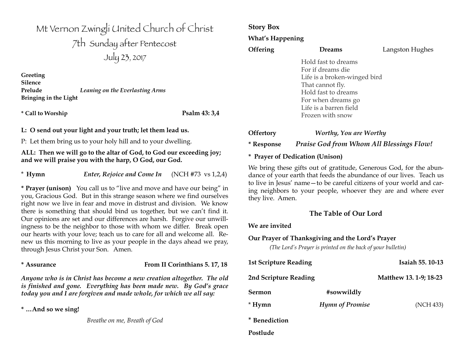Mt Vernon Zwingli United Church of Christ 7th Sunday after Pentecost July 23, 2017

**Greeting Silence Prelude** *Leaning on the Everlasting Arms* **Bringing in the Light**

**\* Call to Worship Psalm 43: 3,4** 

**L: O send out your light and your truth; let them lead us.**

P: Let them bring us to your holy hill and to your dwelling.

#### **ALL: Then we will go to the altar of God, to God our exceeding joy; and we will praise you with the harp, O God, our God.**

\* **Hymn** *Enter, Rejoice and Come In* (NCH #73 vs 1,2,4)

**\* Prayer (unison)** You call us to "live and move and have our being" in you, Gracious God. But in this strange season where we find ourselves right now we live in fear and move in distrust and division. We know there is something that should bind us together, but we can't find it. Our opinions are set and our differences are harsh. Forgive our unwillingness to be the neighbor to those with whom we differ. Break open our hearts with your love; teach us to care for all and welcome all. Renew us this morning to live as your people in the days ahead we pray, through Jesus Christ your Son. Amen.

#### **\* Assurance From II Corinthians 5. 17, 18**

*Anyone who is in Christ has become a new creation altogether. The old is finished and gone. Everything has been made new. By God's grace today you and I are forgiven and made whole, for which we all say:*

**\* …And so we sing!** 

*Breathe on me, Breath of God*

### **Story Box**

**What's Happening**

| <b>Offering</b> | <b>Dreams</b>                | Langston Hughes |
|-----------------|------------------------------|-----------------|
|                 | Hold fast to dreams          |                 |
|                 | For if dreams die            |                 |
|                 | Life is a broken-winged bird |                 |
|                 | That cannot fly.             |                 |
|                 | Hold fast to dreams          |                 |
|                 | For when dreams go           |                 |
|                 | Life is a barren field       |                 |
|                 | Frozen with snow             |                 |
| Dffertory (     | Worthu You are Worthu        |                 |

#### **Offertory** *Worthy, You are Worthy* **\* Response** *Praise God from Whom All Blessings Flow!*

#### **\* Prayer of Dedication (Unison)**

We bring these gifts out of gratitude, Generous God, for the abundance of your earth that feeds the abundance of our lives. Teach us to live in Jesus' name—to be careful citizens of your world and caring neighbors to your people, whoever they are and where ever they live. Amen.

#### **The Table of Our Lord**

#### **We are invited**

**Postlude** 

#### **Our Prayer of Thanksgiving and the Lord's Prayer**

*(The Lord's Prayer is printed on the back of your bulletin)*

| <b>1st Scripture Reading</b> |                        | Isaiah 55.10-13        |
|------------------------------|------------------------|------------------------|
| 2nd Scripture Reading        |                        | Matthew 13. 1-9; 18-23 |
| Sermon                       | #sowwildly             |                        |
| * Hymn                       | <b>Hymn of Promise</b> | (NCH 433)              |
| * Benediction                |                        |                        |